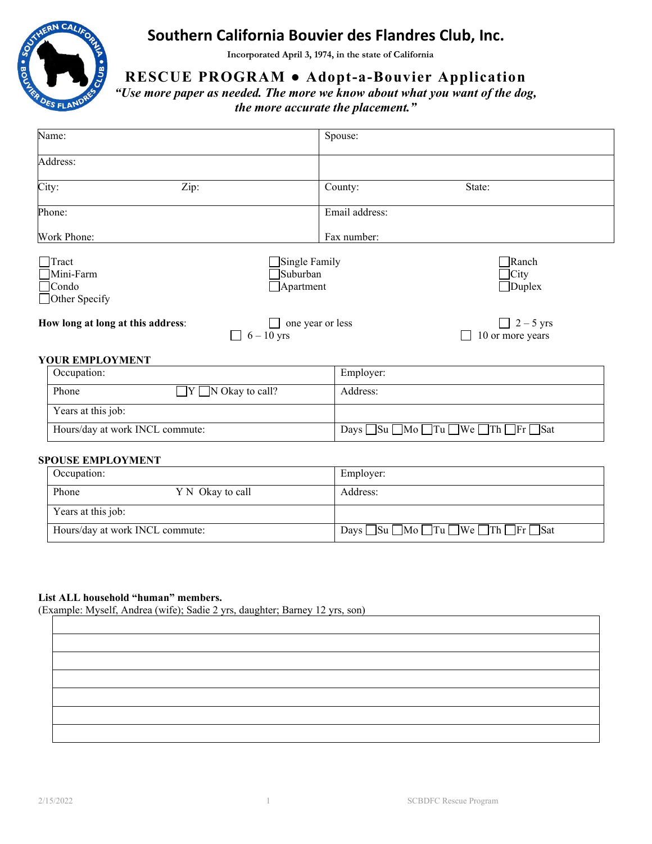

# **Southern California Bouvier des Flandres Club, Inc.**

**Incorporated April 3, 1974, in the state of California** 

**RESCUE PROGRAM ● Adopt-a-Bouvier Application**

*"Use more paper as needed. The more we know about what you want of the dog, the more accurate the placement."*

| Name:                             |               | Spouse:          |                  |
|-----------------------------------|---------------|------------------|------------------|
|                                   |               |                  |                  |
| Address:                          |               |                  |                  |
|                                   |               |                  |                  |
| City:<br>Zip:                     |               | County:          | State:           |
|                                   |               |                  |                  |
| Phone:                            |               | Email address:   |                  |
|                                   |               |                  |                  |
| Work Phone:                       |               | Fax number:      |                  |
| $\Box$ Tract                      |               |                  | $\exists$ Ranch  |
|                                   | Single Family |                  |                  |
| Mini-Farm                         | Suburban      |                  | $\exists$ City   |
| $\Box$ Condo                      | Apartment     |                  | $\Box$ Duplex    |
| Other Specify                     |               |                  |                  |
| How long at long at this address: |               | one year or less | $\Box$ 2 – 5 yrs |
|                                   |               |                  |                  |
|                                   | $6 - 10$ yrs  |                  | 10 or more years |

#### **YOUR EMPLOYMENT**

| Occupation:                     |                               | Employer:                                                                   |
|---------------------------------|-------------------------------|-----------------------------------------------------------------------------|
| Phone                           | $\Box Y \Box N$ Okay to call? | Address:                                                                    |
| Years at this job:              |                               |                                                                             |
| Hours/day at work INCL commute: |                               | Days $\Box$ Su $\Box$ Mo $\Box$ Tu $\Box$ We $\Box$ Th $\Box$ Fr $\Box$ Sat |

### **SPOUSE EMPLOYMENT**

| Occupation:                     |                  | Employer:                                                                   |
|---------------------------------|------------------|-----------------------------------------------------------------------------|
| Phone                           | Y N Okay to call | Address:                                                                    |
| Years at this job:              |                  |                                                                             |
| Hours/day at work INCL commute: |                  | Days $\Box$ Su $\Box$ Mo $\Box$ Tu $\Box$ We $\Box$ Th $\Box$ Fr $\Box$ Sat |

# **List ALL household "human" members.**

(Example: Myself, Andrea (wife); Sadie 2 yrs, daughter; Barney 12 yrs, son)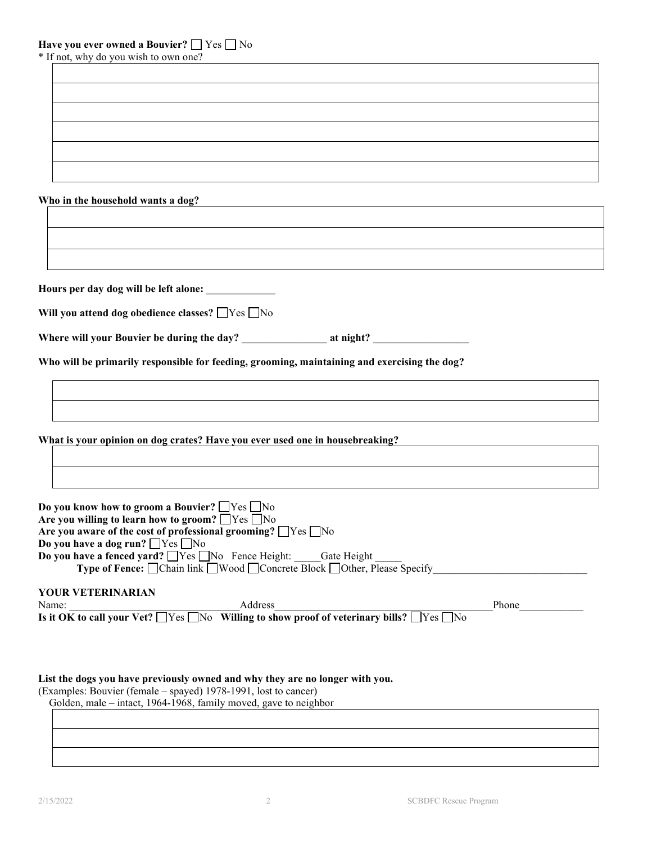\* If not, why do you wish to own one?

# **Who in the household wants a dog?**

| Will you attend dog obedience classes? $\Box$ Yes $\Box$ No                                                                                                                                                                                                                                                           |       |
|-----------------------------------------------------------------------------------------------------------------------------------------------------------------------------------------------------------------------------------------------------------------------------------------------------------------------|-------|
|                                                                                                                                                                                                                                                                                                                       |       |
| Who will be primarily responsible for feeding, grooming, maintaining and exercising the dog?                                                                                                                                                                                                                          |       |
|                                                                                                                                                                                                                                                                                                                       |       |
|                                                                                                                                                                                                                                                                                                                       |       |
|                                                                                                                                                                                                                                                                                                                       |       |
| What is your opinion on dog crates? Have you ever used one in housebreaking?                                                                                                                                                                                                                                          |       |
|                                                                                                                                                                                                                                                                                                                       |       |
|                                                                                                                                                                                                                                                                                                                       |       |
|                                                                                                                                                                                                                                                                                                                       |       |
|                                                                                                                                                                                                                                                                                                                       |       |
|                                                                                                                                                                                                                                                                                                                       |       |
|                                                                                                                                                                                                                                                                                                                       |       |
| Do you know how to groom a Bouvier? $\Box$ Yes $\Box$ No<br>Are you willing to learn how to groom? $\Box$ Yes $\Box$ No<br>Are you aware of the cost of professional grooming? $\Box$ Yes $\Box$ No<br>Do you have a dog run? □ Yes □ No<br>Do you have a fenced yard? $\Box$ Yes $\Box$ No Fence Height: Gate Height |       |
| <b>Type of Fence:</b> □ Chain link □ Wood □ Concrete Block □ Other, Please Specify                                                                                                                                                                                                                                    |       |
| YOUR VETERINARIAN<br>Address<br>Name:                                                                                                                                                                                                                                                                                 | Phone |

Golden, male – intact, 1964-1968, family moved, gave to neighbor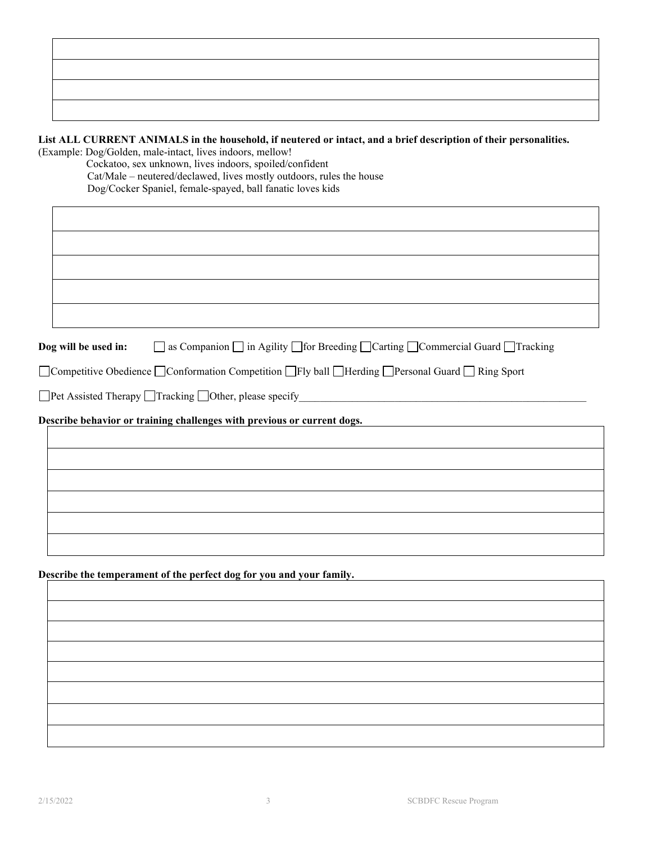## **List ALL CURRENT ANIMALS in the household, if neutered or intact, and a brief description of their personalities.** (Example: Dog/Golden, male-intact, lives indoors, mellow!

 Cockatoo, sex unknown, lives indoors, spoiled/confident Cat/Male – neutered/declawed, lives mostly outdoors, rules the house Dog/Cocker Spaniel, female-spayed, ball fanatic loves kids

| <b>Dog will be used in:</b> $\Box$ as Companion $\Box$ in Agility $\Box$ for Breeding $\Box$ Carting $\Box$ Commercial Guard $\Box$ Tracking |
|----------------------------------------------------------------------------------------------------------------------------------------------|
| $\Box$ Competitive Obedience $\Box$ Conformation Competition $\Box$ Fly ball $\Box$ Herding $\Box$ Personal Guard $\Box$ Ring Sport          |
|                                                                                                                                              |
| Describe behavior or training challenges with previous or current dogs.                                                                      |
|                                                                                                                                              |
|                                                                                                                                              |
|                                                                                                                                              |
|                                                                                                                                              |
|                                                                                                                                              |
|                                                                                                                                              |
|                                                                                                                                              |

**Describe the temperament of the perfect dog for you and your family.**